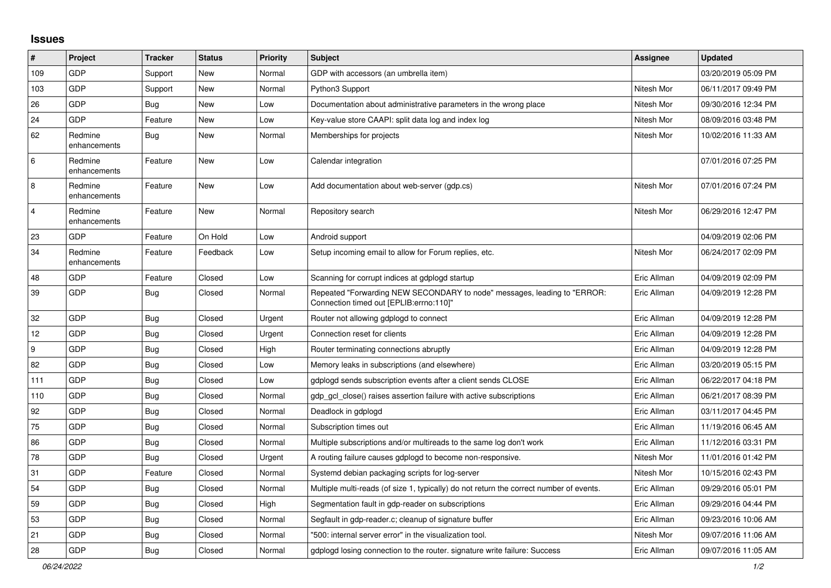## **Issues**

| #                | Project                 | <b>Tracker</b> | <b>Status</b> | Priority | <b>Subject</b>                                                                                                      | <b>Assignee</b> | <b>Updated</b>      |
|------------------|-------------------------|----------------|---------------|----------|---------------------------------------------------------------------------------------------------------------------|-----------------|---------------------|
| 109              | GDP                     | Support        | <b>New</b>    | Normal   | GDP with accessors (an umbrella item)                                                                               |                 | 03/20/2019 05:09 PM |
| 103              | GDP                     | Support        | <b>New</b>    | Normal   | Python3 Support                                                                                                     | Nitesh Mor      | 06/11/2017 09:49 PM |
| 26               | GDP                     | Bug            | New           | Low      | Documentation about administrative parameters in the wrong place                                                    | Nitesh Mor      | 09/30/2016 12:34 PM |
| 24               | <b>GDP</b>              | Feature        | New           | Low      | Key-value store CAAPI: split data log and index log                                                                 | Nitesh Mor      | 08/09/2016 03:48 PM |
| 62               | Redmine<br>enhancements | <b>Bug</b>     | <b>New</b>    | Normal   | Memberships for projects                                                                                            | Nitesh Mor      | 10/02/2016 11:33 AM |
| 6                | Redmine<br>enhancements | Feature        | New           | Low      | Calendar integration                                                                                                |                 | 07/01/2016 07:25 PM |
| 8                | Redmine<br>enhancements | Feature        | <b>New</b>    | Low      | Add documentation about web-server (gdp.cs)                                                                         | Nitesh Mor      | 07/01/2016 07:24 PM |
| $\overline{4}$   | Redmine<br>enhancements | Feature        | New           | Normal   | Repository search                                                                                                   | Nitesh Mor      | 06/29/2016 12:47 PM |
| 23               | GDP                     | Feature        | On Hold       | Low      | Android support                                                                                                     |                 | 04/09/2019 02:06 PM |
| 34               | Redmine<br>enhancements | Feature        | Feedback      | Low      | Setup incoming email to allow for Forum replies, etc.                                                               | Nitesh Mor      | 06/24/2017 02:09 PM |
| 48               | GDP                     | Feature        | Closed        | Low      | Scanning for corrupt indices at gdplogd startup                                                                     | Eric Allman     | 04/09/2019 02:09 PM |
| 39               | <b>GDP</b>              | Bug            | Closed        | Normal   | Repeated "Forwarding NEW SECONDARY to node" messages, leading to "ERROR:<br>Connection timed out [EPLIB:errno:110]" | Eric Allman     | 04/09/2019 12:28 PM |
| 32               | GDP                     | <b>Bug</b>     | Closed        | Urgent   | Router not allowing gdplogd to connect                                                                              | Eric Allman     | 04/09/2019 12:28 PM |
| 12               | GDP                     | <b>Bug</b>     | Closed        | Urgent   | Connection reset for clients                                                                                        | Eric Allman     | 04/09/2019 12:28 PM |
| $\boldsymbol{9}$ | GDP                     | <b>Bug</b>     | Closed        | High     | Router terminating connections abruptly                                                                             | Eric Allman     | 04/09/2019 12:28 PM |
| 82               | <b>GDP</b>              | <b>Bug</b>     | Closed        | Low      | Memory leaks in subscriptions (and elsewhere)                                                                       | Eric Allman     | 03/20/2019 05:15 PM |
| 111              | GDP                     | Bug            | Closed        | Low      | gdplogd sends subscription events after a client sends CLOSE                                                        | Eric Allman     | 06/22/2017 04:18 PM |
| 110              | GDP                     | Bug            | Closed        | Normal   | gdp gcl close() raises assertion failure with active subscriptions                                                  | Eric Allman     | 06/21/2017 08:39 PM |
| 92               | <b>GDP</b>              | <b>Bug</b>     | Closed        | Normal   | Deadlock in gdplogd                                                                                                 | Eric Allman     | 03/11/2017 04:45 PM |
| 75               | GDP                     | <b>Bug</b>     | Closed        | Normal   | Subscription times out                                                                                              | Eric Allman     | 11/19/2016 06:45 AM |
| 86               | GDP                     | <b>Bug</b>     | Closed        | Normal   | Multiple subscriptions and/or multireads to the same log don't work                                                 | Eric Allman     | 11/12/2016 03:31 PM |
| 78               | GDP                     | Bug            | Closed        | Urgent   | A routing failure causes gdplogd to become non-responsive.                                                          | Nitesh Mor      | 11/01/2016 01:42 PM |
| 31               | <b>GDP</b>              | Feature        | Closed        | Normal   | Systemd debian packaging scripts for log-server                                                                     | Nitesh Mor      | 10/15/2016 02:43 PM |
| 54               | GDP                     | <b>Bug</b>     | Closed        | Normal   | Multiple multi-reads (of size 1, typically) do not return the correct number of events.                             | Eric Allman     | 09/29/2016 05:01 PM |
| 59               | GDP                     | Bug            | Closed        | High     | Segmentation fault in gdp-reader on subscriptions                                                                   | Eric Allman     | 09/29/2016 04:44 PM |
| 53               | GDP                     | Bug            | Closed        | Normal   | Segfault in gdp-reader.c; cleanup of signature buffer                                                               | Eric Allman     | 09/23/2016 10:06 AM |
| 21               | GDP                     | <b>Bug</b>     | Closed        | Normal   | "500: internal server error" in the visualization tool.                                                             | Nitesh Mor      | 09/07/2016 11:06 AM |
| 28               | GDP                     | <b>Bug</b>     | Closed        | Normal   | gdplogd losing connection to the router. signature write failure: Success                                           | Eric Allman     | 09/07/2016 11:05 AM |